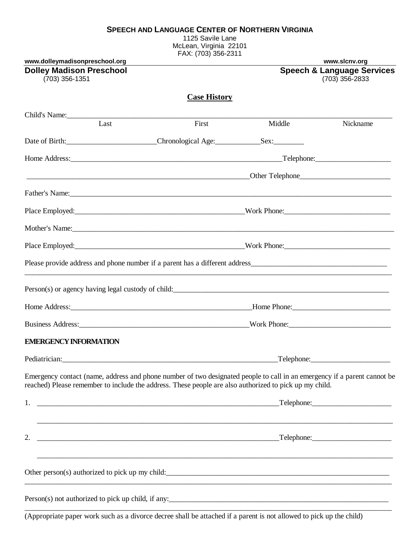#### **SPEECH AND LANGUAGE CENTER OF NORTHERN VIRGINIA**

1125 Savile Lane McLean, Virginia 22101 FAX: (703) 356-2311

| www.dolleymadisonpreschool.org                                                                                                                                                                                                         | FAA. (700) 000-2011                                                               |            | www.slcnv.org                                           |
|----------------------------------------------------------------------------------------------------------------------------------------------------------------------------------------------------------------------------------------|-----------------------------------------------------------------------------------|------------|---------------------------------------------------------|
| <b>Dolley Madison Preschool</b><br>(703) 356-1351                                                                                                                                                                                      |                                                                                   |            | <b>Speech &amp; Language Services</b><br>(703) 356-2833 |
|                                                                                                                                                                                                                                        | <b>Case History</b>                                                               |            |                                                         |
| Child's Name:                                                                                                                                                                                                                          |                                                                                   |            |                                                         |
| Last                                                                                                                                                                                                                                   | First                                                                             | Middle     | Nickname                                                |
|                                                                                                                                                                                                                                        |                                                                                   |            |                                                         |
|                                                                                                                                                                                                                                        |                                                                                   |            |                                                         |
| <u>Den Telephone</u> and The Communication of the Communication of the Telephone and Telephone and Telephone and Telephone and Telephone and Telephone and Telephone and Telephone and Telephone and Telephone and Telephone and Te    |                                                                                   |            |                                                         |
|                                                                                                                                                                                                                                        |                                                                                   |            |                                                         |
| Place Employed:<br><u>Place Employed:</u>                                                                                                                                                                                              |                                                                                   |            |                                                         |
| Mother's Name: Note and the Marian Community of the Marian Community of the Marian Community of the Marian Community of the Marian Community of the Marian Community of the Marian Community of the Marian Community of the Ma         |                                                                                   |            |                                                         |
|                                                                                                                                                                                                                                        |                                                                                   |            |                                                         |
|                                                                                                                                                                                                                                        |                                                                                   |            |                                                         |
|                                                                                                                                                                                                                                        |                                                                                   |            |                                                         |
|                                                                                                                                                                                                                                        |                                                                                   |            |                                                         |
| Business Address: Northern Mork Phone: Northern Mork Phone: Northern Mork Phone:                                                                                                                                                       |                                                                                   |            |                                                         |
| <b>EMERGENCY INFORMATION</b>                                                                                                                                                                                                           |                                                                                   |            |                                                         |
| Pediatrician:                                                                                                                                                                                                                          |                                                                                   | Telephone: |                                                         |
| Emergency contact (name, address and phone number of two designated people to call in an emergency if a parent cannot be<br>reached) Please remember to include the address. These people are also authorized to pick up my child.     |                                                                                   |            |                                                         |
| 1.                                                                                                                                                                                                                                     |                                                                                   |            | $\Box$ Telephone:                                       |
| 2.                                                                                                                                                                                                                                     | ,我们也不能在这里的人,我们也不能在这里的人,我们也不能在这里的人,我们也不能在这里的人,我们也不能在这里的人,我们也不能在这里的人,我们也不能在这里的人,我们也 |            |                                                         |
| Other person(s) authorized to pick up my child:                                                                                                                                                                                        |                                                                                   |            |                                                         |
| Person(s) not authorized to pick up child, if any:<br><u>example and the contract of the contract of the contract of the contract of the contract of the contract of the contract of the contract of the contract of the contract </u> |                                                                                   |            |                                                         |

(Appropriate paper work such as a divorce decree shall be attached if a parent is not allowed to pick up the child)

\_\_\_\_\_\_\_\_\_\_\_\_\_\_\_\_\_\_\_\_\_\_\_\_\_\_\_\_\_\_\_\_\_\_\_\_\_\_\_\_\_\_\_\_\_\_\_\_\_\_\_\_\_\_\_\_\_\_\_\_\_\_\_\_\_\_\_\_\_\_\_\_\_\_\_\_\_\_\_\_\_\_\_\_\_\_\_\_\_\_\_\_\_\_\_\_\_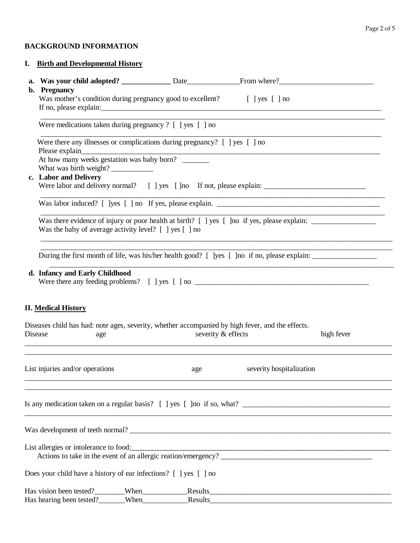# **BACKGROUND INFORMATION**

## **I. Birth and Developmental History**

| b. | <b>Pregnancy</b>                                                                                                      |                                                                            |                          |            |  |  |
|----|-----------------------------------------------------------------------------------------------------------------------|----------------------------------------------------------------------------|--------------------------|------------|--|--|
|    | Was mother's condition during pregnancy good to excellent? [ ] yes [ ] no                                             |                                                                            |                          |            |  |  |
|    |                                                                                                                       |                                                                            |                          |            |  |  |
|    | <u> 1989 - John Stein, Amerikaansk politiker († 1989)</u><br>Were medications taken during pregnancy ? [ ] yes [ ] no |                                                                            |                          |            |  |  |
|    |                                                                                                                       | Were there any illnesses or complications during pregnancy? [ ] yes [ ] no |                          |            |  |  |
|    |                                                                                                                       |                                                                            |                          |            |  |  |
|    |                                                                                                                       |                                                                            |                          |            |  |  |
|    |                                                                                                                       |                                                                            |                          |            |  |  |
|    | c. Labor and Delivery                                                                                                 |                                                                            |                          |            |  |  |
|    |                                                                                                                       |                                                                            |                          |            |  |  |
|    |                                                                                                                       |                                                                            |                          |            |  |  |
|    |                                                                                                                       |                                                                            |                          |            |  |  |
|    | Was the baby of average activity level? [ ] yes [ ] no                                                                |                                                                            |                          |            |  |  |
|    |                                                                                                                       |                                                                            |                          |            |  |  |
|    |                                                                                                                       |                                                                            |                          |            |  |  |
|    |                                                                                                                       |                                                                            |                          |            |  |  |
|    |                                                                                                                       |                                                                            |                          |            |  |  |
|    |                                                                                                                       |                                                                            |                          |            |  |  |
|    | d. Infancy and Early Childhood                                                                                        |                                                                            |                          |            |  |  |
|    |                                                                                                                       |                                                                            |                          |            |  |  |
|    |                                                                                                                       |                                                                            |                          |            |  |  |
|    | <b>II.</b> Medical History                                                                                            |                                                                            |                          |            |  |  |
|    |                                                                                                                       |                                                                            |                          |            |  |  |
|    | Diseases child has had: note ages, severity, whether accompanied by high fever, and the effects.                      |                                                                            |                          |            |  |  |
|    | Disease<br>age                                                                                                        | severity & effects                                                         |                          | high fever |  |  |
|    |                                                                                                                       |                                                                            |                          |            |  |  |
|    |                                                                                                                       |                                                                            |                          |            |  |  |
|    | List injuries and/or operations                                                                                       | age                                                                        | severity hospitalization |            |  |  |
|    |                                                                                                                       |                                                                            |                          |            |  |  |
|    |                                                                                                                       |                                                                            |                          |            |  |  |
|    |                                                                                                                       |                                                                            |                          |            |  |  |
|    |                                                                                                                       |                                                                            |                          |            |  |  |
|    |                                                                                                                       |                                                                            |                          |            |  |  |
|    |                                                                                                                       |                                                                            |                          |            |  |  |
|    | List allergies or intolerance to food:                                                                                |                                                                            |                          |            |  |  |
|    |                                                                                                                       |                                                                            |                          |            |  |  |
|    | Does your child have a history of ear infections? [ ] yes [ ] no                                                      |                                                                            |                          |            |  |  |
|    | Has vision been tested?                                                                                               | When                                                                       |                          |            |  |  |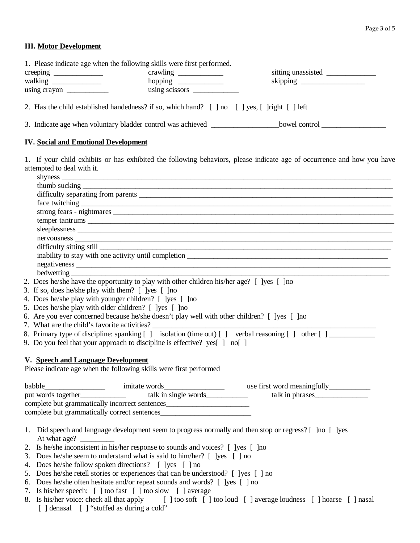### **III. Motor Development**

| 1. Please indicate age when the following skills were first performed. |                                                                                                                                                                                                                                                                                                                                                                                                                                                 |                    |
|------------------------------------------------------------------------|-------------------------------------------------------------------------------------------------------------------------------------------------------------------------------------------------------------------------------------------------------------------------------------------------------------------------------------------------------------------------------------------------------------------------------------------------|--------------------|
|                                                                        | crawling $\frac{1}{\sqrt{1-\frac{1}{2}} \cdot \frac{1}{\sqrt{1-\frac{1}{2}} \cdot \frac{1}{\sqrt{1-\frac{1}{2}} \cdot \frac{1}{\sqrt{1-\frac{1}{2}} \cdot \frac{1}{\sqrt{1-\frac{1}{2}} \cdot \frac{1}{\sqrt{1-\frac{1}{2}} \cdot \frac{1}{\sqrt{1-\frac{1}{2}} \cdot \frac{1}{\sqrt{1-\frac{1}{2}} \cdot \frac{1}{\sqrt{1-\frac{1}{2}} \cdot \frac{1}{\sqrt{1-\frac{1}{2}} \cdot \frac{1}{\sqrt{1-\frac{1}{2}} \cdot \frac{1}{\sqrt{1-\frac{1$ | sitting unassisted |
|                                                                        |                                                                                                                                                                                                                                                                                                                                                                                                                                                 |                    |
|                                                                        | $using \, \, \text{scissors} \, \, \_\_$                                                                                                                                                                                                                                                                                                                                                                                                        |                    |
|                                                                        | 2. Has the child established handedness? if so, which hand? [ ] no [ ] yes, [ ] right [ ] left                                                                                                                                                                                                                                                                                                                                                  |                    |

3. Indicate age when voluntary bladder control was achieved \_\_\_\_\_\_\_\_\_\_\_\_\_\_\_\_\_\_\_bowel control

### **IV. Social and Emotional Development**

1. If your child exhibits or has exhibited the following behaviors, please indicate age of occurrence and how you have attempted to deal with it.

| inability to stay with one activity until completion                                                                                                                                                                             |
|----------------------------------------------------------------------------------------------------------------------------------------------------------------------------------------------------------------------------------|
|                                                                                                                                                                                                                                  |
|                                                                                                                                                                                                                                  |
| 2. Does he/she have the opportunity to play with other children his/her age? [ ]yes [ ]no                                                                                                                                        |
|                                                                                                                                                                                                                                  |
| 4. Does he/she play with younger children? [ ]yes [ ]no                                                                                                                                                                          |
| 5. Does he/she play with older children? [ ] ] lyes [ ] ] no                                                                                                                                                                     |
| 6. Are you ever concerned because he/she doesn't play well with other children? [ ]yes [ ]no                                                                                                                                     |
|                                                                                                                                                                                                                                  |
| 8. Primary type of discipline: spanking [] isolation (time out) [] verbal reasoning [] other []___________                                                                                                                       |
| $\alpha$ in the set of the set of the set of the set of the set of the set of the set of the set of the set of the set of the set of the set of the set of the set of the set of the set of the set of the set of the set of the |

9. Do you feel that your approach to discipline is effective? yes[ ] no[ ]

### **V. Speech and Language Development**

Please indicate age when the following skills were first performed

| babble                                         | imitate words        | use first word meaningfully |  |
|------------------------------------------------|----------------------|-----------------------------|--|
| put words together                             | talk in single words | talk in phrases             |  |
| complete but grammatically incorrect sentences |                      |                             |  |
| complete but grammatically correct sentences   |                      |                             |  |

- 1. Did speech and language development seem to progress normally and then stop or regress? [ ]no [ ]yes At what age? \_
- 2. Is he/she inconsistent in his/her response to sounds and voices? [ ]yes [ ]no
- 3. Does he/she seem to understand what is said to him/her? [ ]yes [ ] no
- 4. Does he/she follow spoken directions? [ ]yes [ ] no
- 5. Does he/she retell stories or experiences that can be understood? [ ]yes [ ] no
- 6. Does he/she often hesitate and/or repeat sounds and words? [ ]yes [ ] no
- 7. Is his/her speech: [ ] too fast [ ] too slow [ ] average
- 8. Is his/her voice: check all that apply [ ] too soft [ ] too loud [ ] average loudness [ ] hoarse [ ] nasal [ ] denasal [ ] "stuffed as during a cold"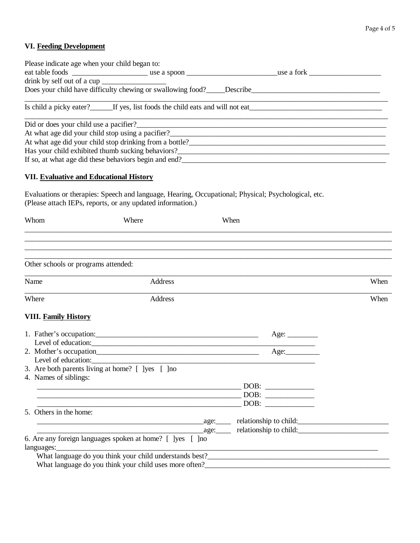# **VI. Feeding Development**

| Please indicate age when your child began to: |                                                                                                                                                                                                                                        |  |
|-----------------------------------------------|----------------------------------------------------------------------------------------------------------------------------------------------------------------------------------------------------------------------------------------|--|
|                                               |                                                                                                                                                                                                                                        |  |
|                                               |                                                                                                                                                                                                                                        |  |
|                                               |                                                                                                                                                                                                                                        |  |
|                                               | Is child a picky eater? If yes, list foods the child eats and will not eat                                                                                                                                                             |  |
|                                               | Did or does your child use a pacifier?                                                                                                                                                                                                 |  |
|                                               | At what age did your child stop using a pacifier?<br><u>Letting and the contract of the contract of the contract of the contract of the contract of the contract of the contract of the contract of the contract of the contract o</u> |  |
|                                               |                                                                                                                                                                                                                                        |  |
|                                               | Has your child exhibited thumb sucking behaviors?                                                                                                                                                                                      |  |
|                                               | If so, at what age did these behaviors begin and end?                                                                                                                                                                                  |  |
| $\mathbf{V}$                                  |                                                                                                                                                                                                                                        |  |

### **VII. Evaluative and Educational History**

Evaluations or therapies: Speech and language, Hearing, Occupational; Physical; Psychological, etc. (Please attach IEPs, reports, or any updated information.)

| Whom                                | Where                                                                                                                                                                                                                               | When        |      |
|-------------------------------------|-------------------------------------------------------------------------------------------------------------------------------------------------------------------------------------------------------------------------------------|-------------|------|
|                                     |                                                                                                                                                                                                                                     |             |      |
| Other schools or programs attended: |                                                                                                                                                                                                                                     |             |      |
| Name                                | Address                                                                                                                                                                                                                             |             | When |
| Where                               | <b>Address</b>                                                                                                                                                                                                                      |             | When |
| <b>VIII. Family History</b>         |                                                                                                                                                                                                                                     |             |      |
|                                     |                                                                                                                                                                                                                                     | Age: $\_\_$ |      |
|                                     | Level of education:                                                                                                                                                                                                                 |             |      |
|                                     |                                                                                                                                                                                                                                     | Age:        |      |
|                                     | Level of education: <u>example and the set of education</u> and the set of education and the set of education and the set of the set of the set of the set of the set of the set of the set of the set of the set of the set of the |             |      |
| 4. Names of siblings:               | 3. Are both parents living at home? [ ]yes [ ]no                                                                                                                                                                                    |             |      |
|                                     |                                                                                                                                                                                                                                     |             |      |
|                                     |                                                                                                                                                                                                                                     |             |      |
|                                     |                                                                                                                                                                                                                                     | DOB:        |      |
| 5. Others in the home:              |                                                                                                                                                                                                                                     |             |      |
|                                     | example and the same set of the same set of the same set of the same set of the same set of the same set of the same set of the same set of the same set of the same set of the same set of the same set of the same set of th      |             |      |
|                                     |                                                                                                                                                                                                                                     |             |      |
|                                     | 6. Are any foreign languages spoken at home? [ ]yes [ ]no                                                                                                                                                                           |             |      |
|                                     |                                                                                                                                                                                                                                     |             |      |
|                                     |                                                                                                                                                                                                                                     |             |      |